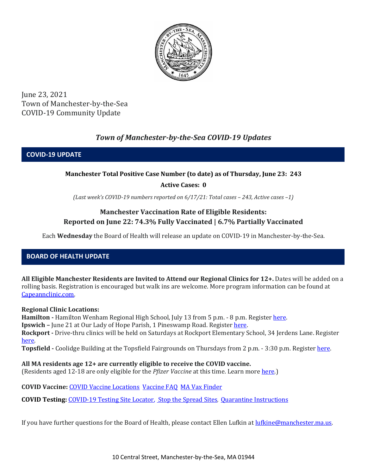

June 23, 2021 Town of Manchester-by-the-Sea COVID-19 Community Update

# *Town of Manchester-by-the-Sea COVID-19 Updates*

**COVID-19 UPDATE**

### **Manchester Total Positive Case Number (to date) as of Thursday, June 23: 243**

**Active Cases: 0**

*(Last week's COVID-19 numbers reported on 6/17/21: Total cases – 243, Active cases –1)*

### **Manchester Vaccination Rate of Eligible Residents: Reported on June 22: 74.3% Fully Vaccinated | 6.7% Partially Vaccinated**

Each **Wednesday** the Board of Health will release an update on COVID-19 in Manchester-by-the-Sea.

## **BOARD OF HEALTH UPDATE**

**All Eligible Manchester Residents are Invited to Attend our Regional Clinics for 12+.** Dates will be added on a rolling basis. Registration is encouraged but walk ins are welcome. More program information can be found at [Capeannclinic.com.](https://capeannclinic.com/)

#### **Regional Clinic Locations:**

**Hamilton -** Hamilton Wenham Regional High School, July 13 from 5 p.m. - 8 p.m. Register [here.](https://home.color.com/vaccine/register/capeann)

**Ipswich –** June 21 at Our Lady of Hope Parish, 1 Pineswamp Road. Registe[r here.](https://vaxfinder.mass.gov/locations/ipswich-our-lady-of-hope-parish-church/)

**Rockport -** Drive-thru clinics will be held on Saturdays at Rockport Elementary School, 34 Jerdens Lane. Register [here.](https://vaxfinder.mass.gov/locations/rockport-rockport-elementary-school/)

**Topsfield -** Coolidge Building at the Topsfield Fairgrounds on Thursdays from 2 p.m. - 3:30 p.m. Registe[r here.](https://vaxfinder.mass.gov/locations/topsfield-topsfield-fairgrounds-coolidge-hall/)

**All MA residents age 12+ are currently eligible to receive the COVID vaccine.** 

(Residents aged 12-18 are only eligible for the *Pfizer Vaccine* at this time. Learn mor[e here.](https://www.mass.gov/info-details/covid-19-vaccinations-for-people-under-age-18))

**COVID Vaccine:** [COVID Vaccine Locations](https://www.mass.gov/info-details/preregister-for-a-covid-19-vaccine-appointment) [Vaccine FAQ](https://www.mass.gov/info-details/preregister-for-a-covid-19-vaccine-appointment) [MA Vax Finder](https://www.mass.gov/info-details/preregister-for-a-covid-19-vaccine-appointment)

**COVID Testing:** [COVID-19 Testing Site Locator,](https://memamaps.maps.arcgis.com/apps/webappviewer/index.html?id=eba3f0395451430b9f631cb095febf13) [Stop the Spread Sites](https://www.mass.gov/info-details/stop-the-spread)*,* [Quarantine Instructions](http://manchester.ma.us/DocumentCenter/View/3558/14-10-7-day-COVID19_Quarantine-information-1272020)

If you have further questions for the Board of Health, please contact Ellen Lufkin at [lufkine@manchester.ma.us.](mailto:lufkine@manchester.ma.us)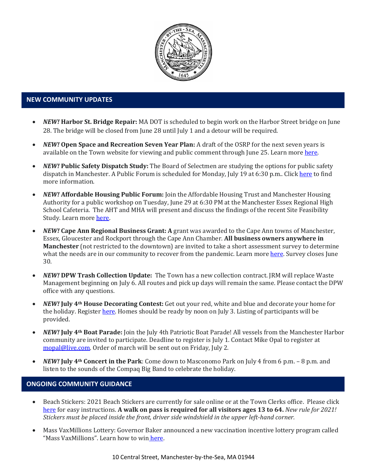

#### **NEW COMMUNITY UPDATES**

- *NEW!* **Harbor St. Bridge Repair:** MA DOT is scheduled to begin work on the Harbor Street bridge on June 28. The bridge will be closed from June 28 until July 1 and a detour will be required.
- *NEW!* **Open Space and Recreation Seven Year Plan:** A draft of the OSRP for the next seven years is available on the Town website for viewing and public comment through June 25. Learn mor[e here.](http://manchester.ma.us/356/Open-Space-Recreation-Committee)
- *NEW!* **Public Safety Dispatch Study:** The Board of Selectmen are studying the options for public safety dispatch in Manchester. A Public Forum is scheduled for Monday, July 19 at 6:30 p.m.. Clic[k here](http://manchester.ma.us/747/Public-Safety-Dispatch) to find more information.
- *NEW!* **Affordable Housing Public Forum:** Join the Affordable Housing Trust and Manchester Housing Authority for a public workshop on Tuesday, June 29 at 6:30 PM at the Manchester Essex Regional High School Cafeteria. The AHT and MHA will present and discuss the findings of the recent Site Feasibility Study. Learn more [here.](https://www.manchester.ma.us/DocumentCenter/View/4027/MAHT-MHA-Public-Workshop-Flyer-for-email)
- *NEW!* **Cape Ann Regional Business Grant: A** grant was awarded to the Cape Ann towns of Manchester, Essex, Gloucester and Rockport through the Cape Ann Chamber. **All business owners anywhere in Manchester** (not restricted to the downtown) are invited to take a short assessment survey to determine what the needs are in our community to recover from the pandemic. Learn more [here.](https://www.manchester.ma.us/DocumentCenter/View/4041/Cape-Ann-Chamber-Business-Grant-Needs-Assessment-2021) Survey closes June 30.
- *NEW!* **DPW Trash Collection Update:** The Town has a new collection contract. JRM will replace Waste Management beginning on July 6. All routes and pick up days will remain the same. Please contact the DPW office with any questions.
- *NEW!* **July 4th House Decorating Contest:** Get out your red, white and blue and decorate your home for the holiday. Registe[r here.](https://www.manchester.ma.us/FormCenter/4th-of-July-Committee-6/Parade-Float-Form-45) Homes should be ready by noon on July 3. Listing of participants will be provided.
- *NEW!* **July 4th Boat Parade:** Join the July 4th Patriotic Boat Parade! All vessels from the Manchester Harbor community are invited to participate. Deadline to register is July 1. Contact Mike Opal to register at [mopal@live.com.](mailto:mopal@live.com) Order of march will be sent out on Friday, July 2.
- *NEW!* **July 4th Concert in the Park**: Come down to Masconomo Park on July 4 from 6 p.m. 8 p.m. and listen to the sounds of the Compaq Big Band to celebrate the holiday.

### **ONGOING COMMUNITY GUIDANCE**

- Beach Stickers: 2021 Beach Stickers are currently for sale online or at the Town Clerks office. Please click [here](http://manchester.ma.us/252/Beach-Resident-Parking-Stickers) for easy instructions. **A walk on pass is required for all visitors ages 13 to 64.** *New rule for 2021! Stickers must be placed inside the front, driver side windshield in the upper left-hand corner.*
- Mass VaxMillions Lottery: Governor Baker announced a new vaccination incentive lottery program called "Mass VaxMillions". Learn how to win here.